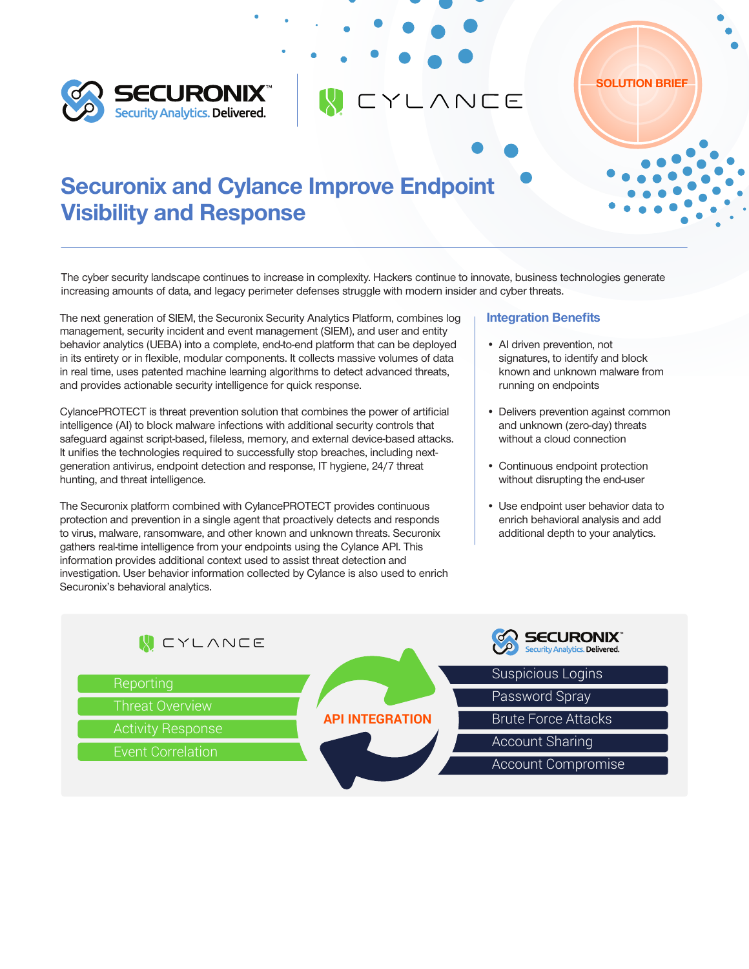



The cyber security landscape continues to increase in complexity. Hackers continue to innovate, business technologies generate increasing amounts of data, and legacy perimeter defenses struggle with modern insider and cyber threats.

CYLANCE

The next generation of SIEM, the Securonix Security Analytics Platform, combines log management, security incident and event management (SIEM), and user and entity behavior analytics (UEBA) into a complete, end-to-end platform that can be deployed in its entirety or in flexible, modular components. It collects massive volumes of data in real time, uses patented machine learning algorithms to detect advanced threats, and provides actionable security intelligence for quick response.

CylancePROTECT is threat prevention solution that combines the power of artificial intelligence (AI) to block malware infections with additional security controls that safeguard against script-based, fileless, memory, and external device-based attacks. It unifies the technologies required to successfully stop breaches, including nextgeneration antivirus, endpoint detection and response, IT hygiene, 24/7 threat hunting, and threat intelligence.

The Securonix platform combined with CylancePROTECT provides continuous protection and prevention in a single agent that proactively detects and responds to virus, malware, ransomware, and other known and unknown threats. Securonix gathers real-time intelligence from your endpoints using the Cylance API. This information provides additional context used to assist threat detection and investigation. User behavior information collected by Cylance is also used to enrich Securonix's behavioral analytics.

## Integration Benefits

• AI driven prevention, not signatures, to identify and block known and unknown malware from running on endpoints

SOLUTION BRIEF

- Delivers prevention against common and unknown (zero-day) threats without a cloud connection
- Continuous endpoint protection without disrupting the end-user
- Use endpoint user behavior data to enrich behavioral analysis and add additional depth to your analytics.